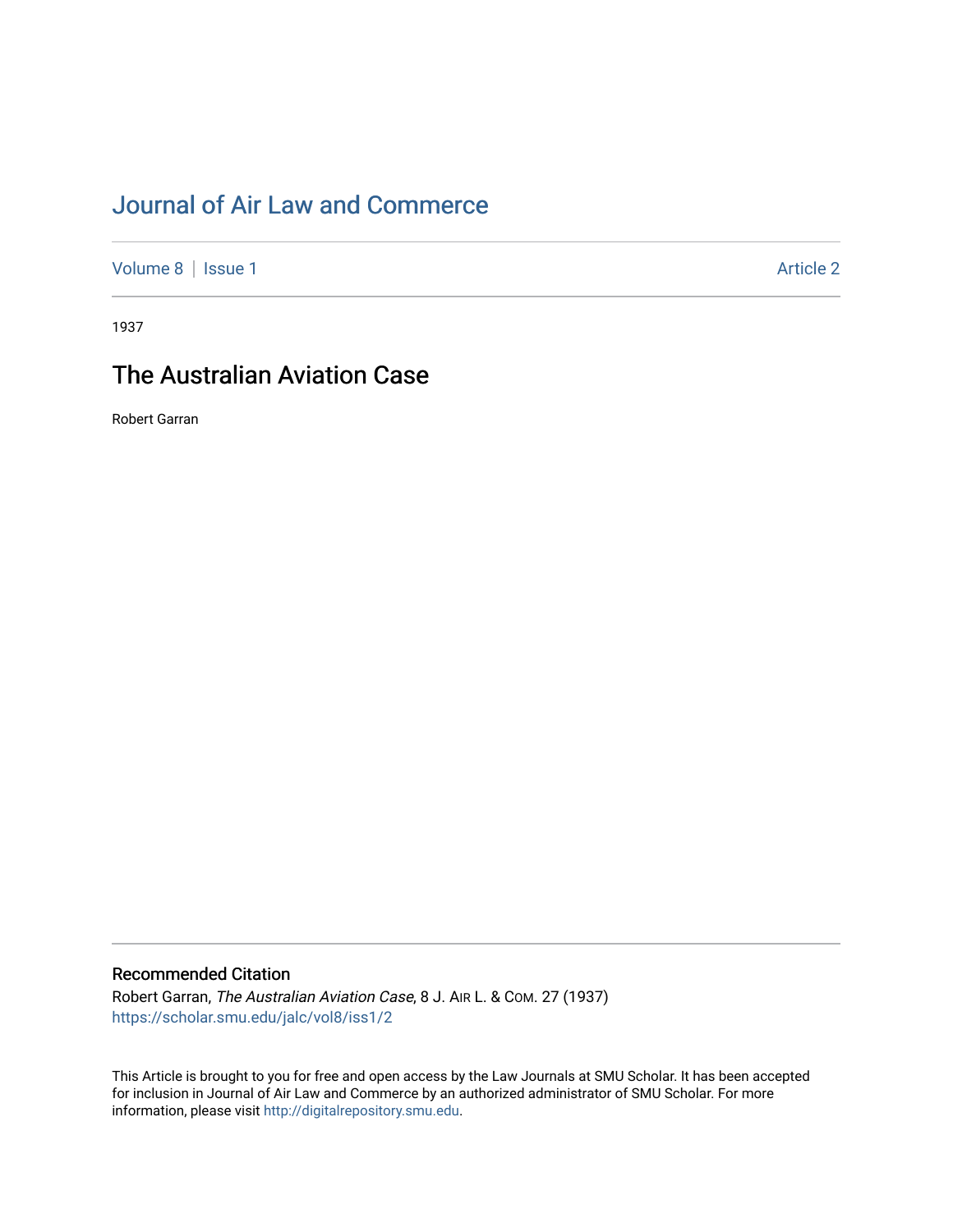# [Journal of Air Law and Commerce](https://scholar.smu.edu/jalc)

[Volume 8](https://scholar.smu.edu/jalc/vol8) | [Issue 1](https://scholar.smu.edu/jalc/vol8/iss1) Article 2

1937

## The Australian Aviation Case

Robert Garran

### Recommended Citation

Robert Garran, The Australian Aviation Case, 8 J. AIR L. & COM. 27 (1937) [https://scholar.smu.edu/jalc/vol8/iss1/2](https://scholar.smu.edu/jalc/vol8/iss1/2?utm_source=scholar.smu.edu%2Fjalc%2Fvol8%2Fiss1%2F2&utm_medium=PDF&utm_campaign=PDFCoverPages)

This Article is brought to you for free and open access by the Law Journals at SMU Scholar. It has been accepted for inclusion in Journal of Air Law and Commerce by an authorized administrator of SMU Scholar. For more information, please visit [http://digitalrepository.smu.edu](http://digitalrepository.smu.edu/).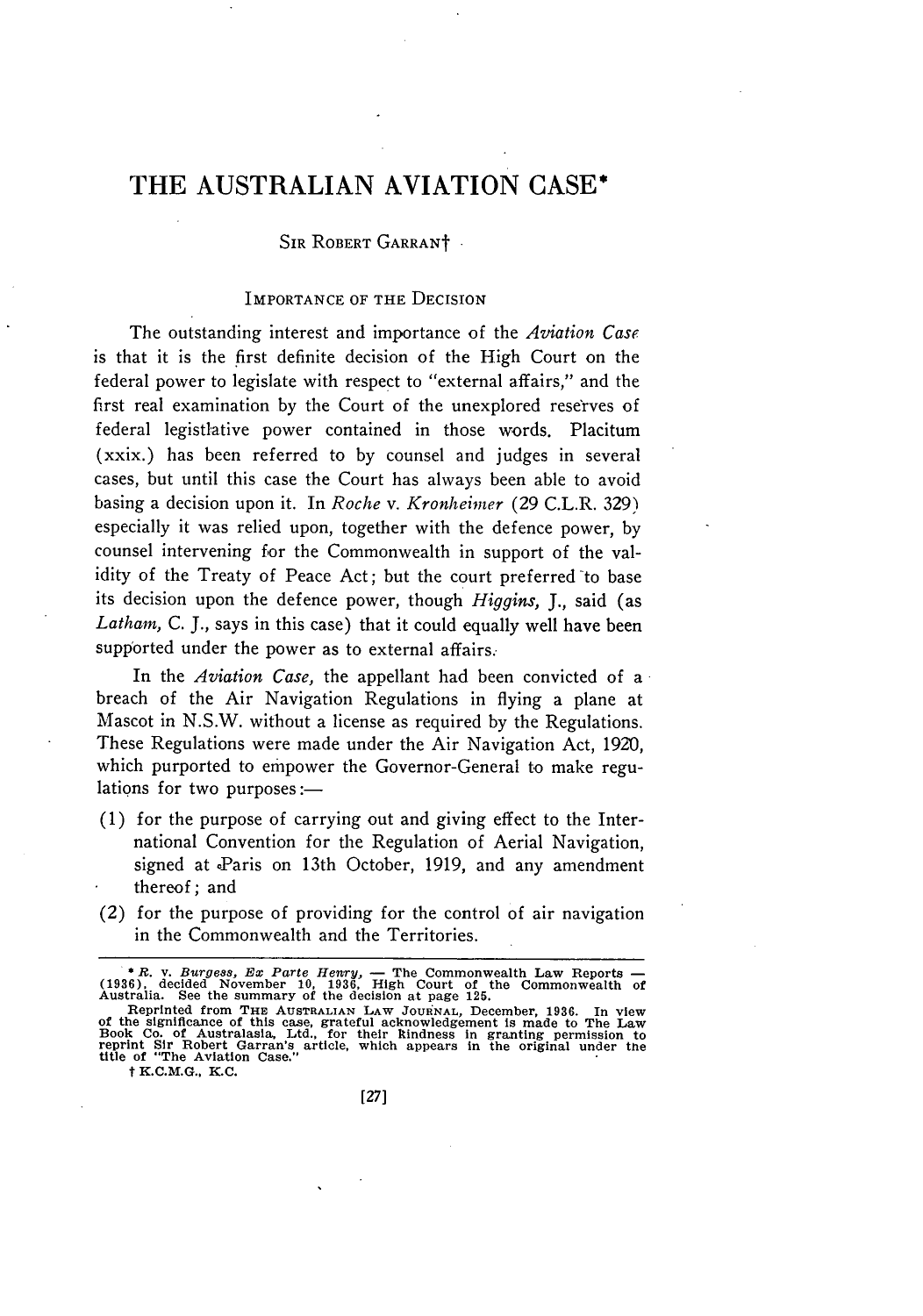### THE **AUSTRALIAN** AVIATION **CASE\***

#### SIR ROBERT GARRANT

#### IMPORTANCE OF THE DECISION

The outstanding interest and importance of the *Aviation Case* is that it is the first definite decision of the High Court on the federal power to legislate with respect to "external affairs," and the first real examination by the Court of the unexplored reserves of federal legistlative power contained in those words. Placiturn (xxix.) has been referred to by counsel and judges in several cases, but until this case the Court has always been able to avoid basing a decision upon it. In *Roche v. Kronheimer* (29 C.L.R. 329) especially it was relied upon, together with the defence power, by counsel intervening for the Commonwealth in support of the validity of the Treaty of Peace Act; but the court preferred to base its decision upon the defence power, though *Higgins, J.,* said (as *Lathan,* C. J., says in this case) that it could equally well have been supported under the power as to external affairs.

In the *Aviation Case,* the appellant had been convicted of a breach of the Air Navigation Regulations in flying a plane at Mascot in N.S.W. without a license as required by the Regulations. These Regulations were made under the Air Navigation Act, **1920,** which purported to empower the Governor-General to make regulations for two purposes: $-$ 

- (1) for the purpose of carrying out and giving effect to the International Convention for the Regulation of Aerial Navigation, signed at Paris on 13th October, 1919, and any amendment thereof; and
- (2) for the purpose of providing for the control of air navigation in the Commonwealth and the Territories.

t K.C.M.G., K.C.

<sup>\*</sup> R. v. Burgess, Ex Parte Henry,  $\overline{ }$  The Commonwealth Law Reports  $\overline{ }$  (1936), decided November 10, 1936, High Court of the Commonwealth of Australia. See the summary of the decision at page 125.

Reprinted from THE AUSTRALIAN LAW JOURNAL, December, 1936. In view<br>of the significance of this case, grateful acknowledgement is made to The Law<br>Book Co. of Australasla, Ltd., for their kindness in granting permission to<br>r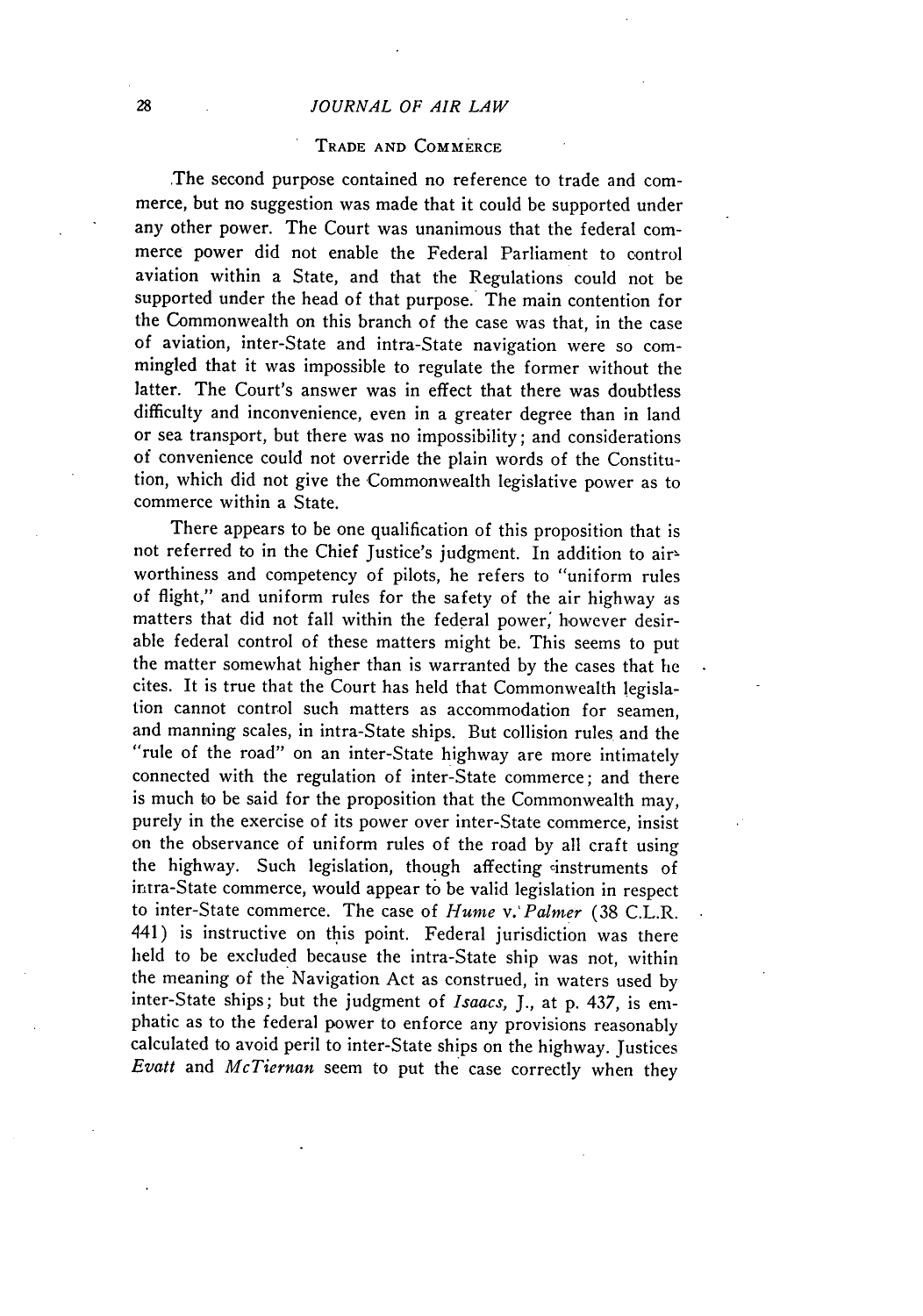#### *JOURNAL OF AIR LAW*

#### TRADE **AND** COMMERCE

The second purpose contained no reference to trade and commerce, but no suggestion was made that it could be supported under any other power. The Court was unanimous that the federal commerce power did not enable the Federal Parliament to control aviation within a State, and that the Regulations could not be supported under the head of that purpose. The main contention for the Commonwealth on this branch of the case was that, in the case of aviation, inter-State and intra-State navigation were so commingled that it was impossible to regulate the former without the latter. The Court's answer was in effect that there was doubtless difficulty and inconvenience, even in a greater degree than in land or sea transport, but there was no impossibility; and considerations of convenience could not override the plain words of the Constitution, which did not give the Commonwealth legislative power as to commerce within a State.

There appears to be one qualification of this proposition that is not referred to in the Chief Justice's judgment. In addition to airworthiness and competency of pilots, he refers to "uniform rules of flight," and uniform rules for the safety of the air highway as matters that did not fall within the federal power; however desirable federal control of these matters might be. This seems to put the matter somewhat higher than is warranted by the cases that he cites. It is true that the Court has held that Commonwealth legislation cannot control such matters as accommodation for seamen, and manning scales, in intra-State ships. But collision rules and the "rule of the road" on an inter-State highway are more intimately connected with the regulation of inter-State commerce; and there is much to be said for the proposition that the Commonwealth may, purely in the exercise of its power over inter-State commerce, insist on the observance of uniform rules of the road by all craft using the highway. Such legislation, though affecting instruments of intra-State commerce, would appear to be valid legislation in respect to inter-State commerce. The case of *Hume v.'Palmer* (38 C.L.R. 441) is instructive on this point. Federal jurisdiction was there held to be excluded because the intra-State ship was not, within the meaning of the Navigation Act as construed, in waters used by inter-State ships; but the judgment of *Isaacs, J.,* at p. 437, is emphatic as to the federal power to enforce any provisions reasonably calculated to avoid peril to inter-State ships on the highway. justices *Evatt* and *McTiernan* seem to put the case correctly when they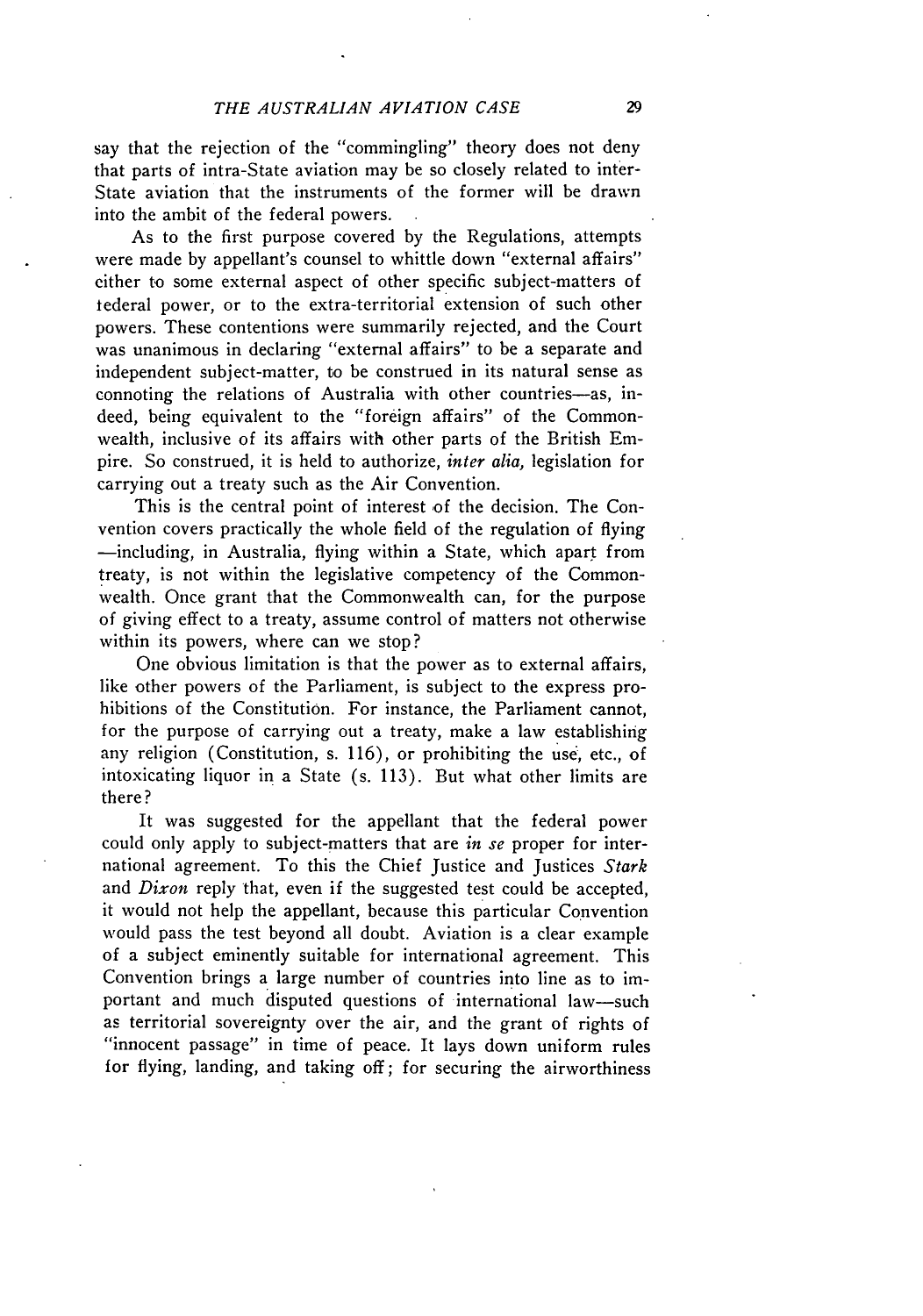say that the rejection of the "commingling" theory does not deny that parts of intra-State aviation may be so closely related to inter-State aviation that the instruments of the former will be drawn into the ambit of the federal powers.

As to the first purpose covered by the Regulations, attempts were made by appellant's counsel to whittle down "external affairs" either to some external aspect of other specific subject-matters of tederal power, or to the extra-territorial extension of such other powers. These contentions were summarily rejected, and the Court was unanimous in declaring "external affairs" to be a separate and independent subject-matter, to be construed in its natural sense as connoting the relations of Australia with other countries-as, indeed, being equivalent to the "foreign affairs" of the Commonwealth, inclusive of its affairs with other parts of the British Empire. So construed, it is held to authorize, *inter alia,* legislation for carrying out a treaty such as the Air Convention.

This is the central point of interest of the decision. The Convention covers practically the whole field of the regulation of flying -including, in Australia, flying within a State, which apart from treaty, is not within the legislative competency of the Commonwealth. Once grant that the Commonwealth can, for the purpose of giving effect to a treaty, assume control of matters not otherwise within its powers, where can we stop?

One obvious limitation is that the power as to external affairs, like other powers of the Parliament, is subject to the express prohibitions of the Constitution. For instance, the Parliament cannot, for the purpose of carrying out a treaty, make a law establishing any religion (Constitution, s. 116), or prohibiting the use, etc., of intoxicating liquor in a State (s. 113). But what other limits are there?

It was suggested for the appellant that the federal power could only apply to subject-matters that are *in se* proper for international agreement. To this the Chief Justice and Justices *Stark* and *Dixon* reply that, even if the suggested test could be accepted, it would not help the appellant, because this particular Convention would pass the test beyond all doubt. Aviation is a clear example of a subject eminently suitable for international agreement. This Convention brings a large number of countries into line as to important and much disputed questions of international law-such as territorial sovereignty over the air, and the grant of rights of "innocent passage" in time of peace. It lays down uniform rules for flying, landing, and taking off; for securing the airworthiness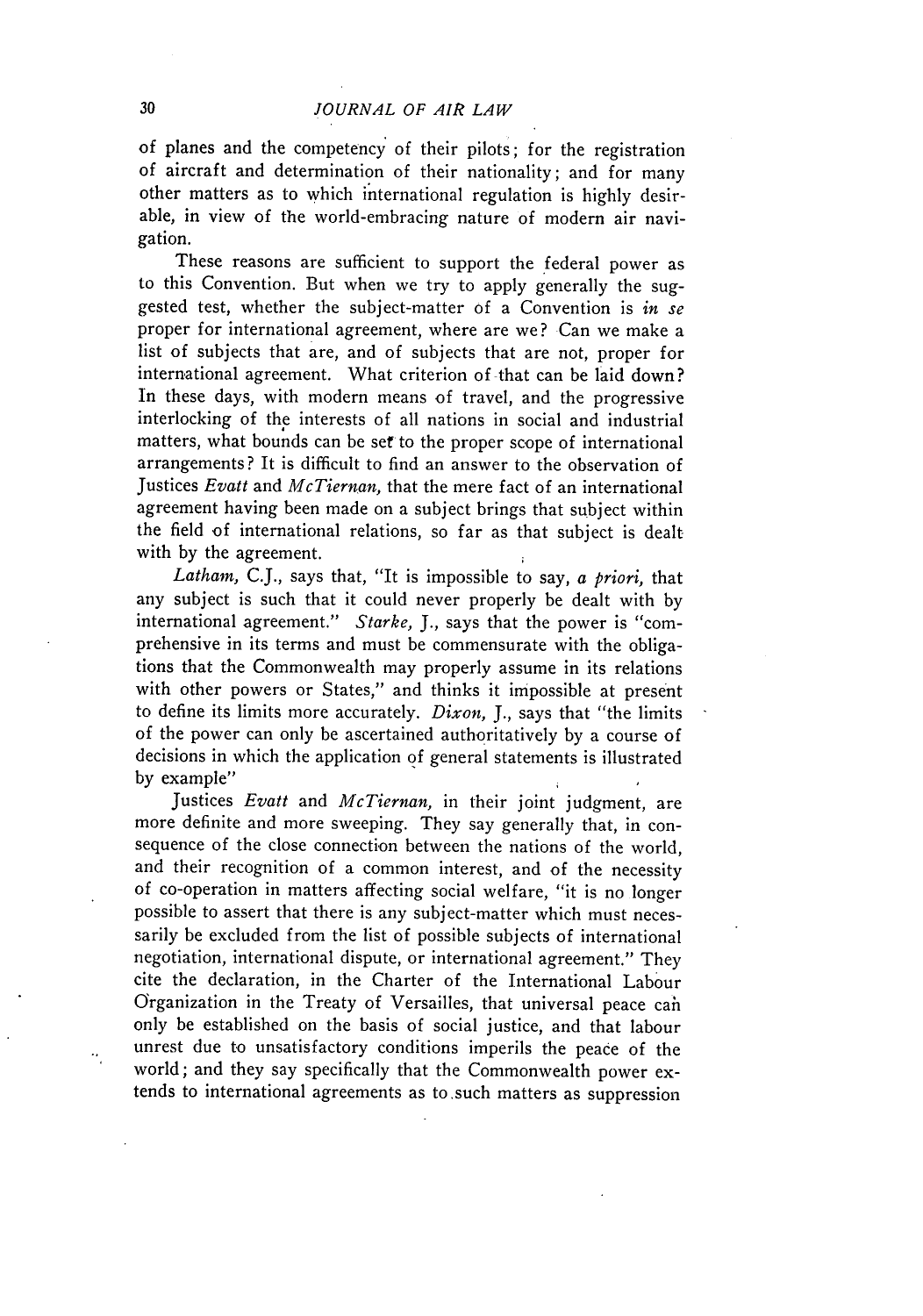of planes and the competency of their pilots; for the registration of aircraft and determination of their nationality; and for many other matters as to which international regulation is **highly** desirable, in view of the world-embracing nature of modern air navigation.

These reasons are sufficient to support the federal power as to this Convention. But when we try to apply generally the suggested test, whether the subject-matter of a Convention is *in se* proper for international agreement, where are we? Can we make a list of subjects that are, and of subjects that are not, proper for international agreement. What criterion of that can be laid down? In these days, with modern means of travel, and the progressive interlocking of the interests of all nations in social and industrial matters, what bounds can be **set** to the proper scope of international arrangements? It is difficult to find an answer to the observation of Justices *Evatt* and *McTiernan,* that the mere fact of an international agreement having been made on a subject brings that subject within the field of international relations, so far as that subject is dealt with **by** the agreement.

*Latham,* **C.J.,** says that, "It is impossible to say, *a priori,* that any subject is such that it could never properly be dealt with **by** international agreement." *Starke, J.,* says that the power is "comprehensive in its terms and must be commensurate with the obligations that the Commonwealth may properly assume in its relations with other powers or States," and thinks it impossible at present to define its limits more accurately. *Dixon, J.,* says that "the limits of the power can only be ascertained authoritatively **by** a course of decisions in which the application **of** general statements is illustrated **by** example"

Justices *Evatt* and *McTiernan,* in their joint judgment, are more definite and more sweeping. They say generally that, in consequence of the close connection between the nations of the world, and their recognition of a common interest, and of the necessity of co-operation in matters affecting social welfare, "it is no longer possible to assert that there is any subject-matter which must necessarily be excluded from the list of possible subjects of international negotiation, international dispute, or international agreement." They cite the declaration, in the Charter of the International Labour Organization in the Treaty of Versailles, that universal peace cah only be established on the basis of social justice, and that labour unrest due to unsatisfactory conditions imperils the peace of the world; and they say specifically that the Commonwealth power extends to international agreements as to .such matters as suppression

 $\ddot{\phantom{0}}$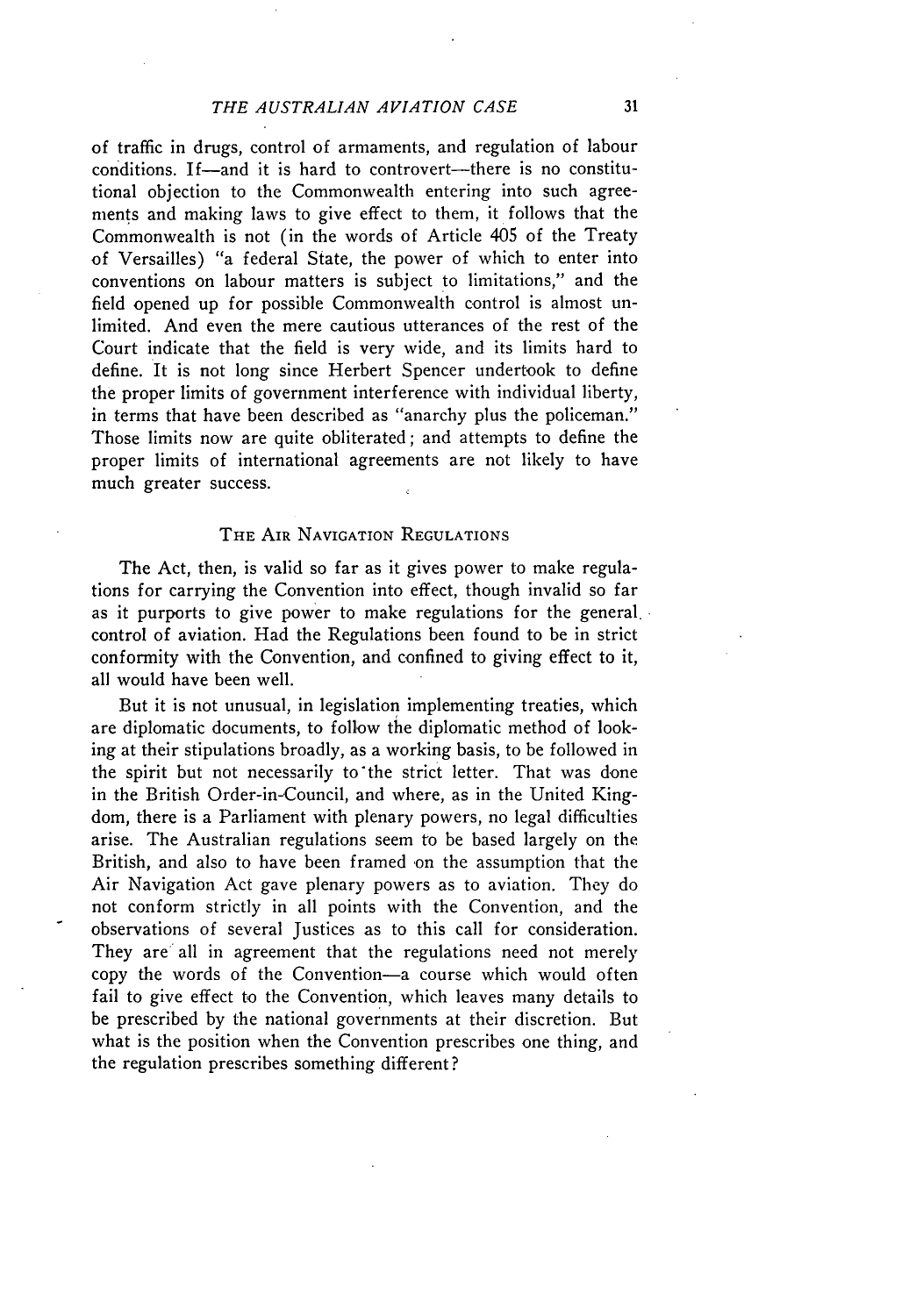#### *THE AUSTRALIAN AVIATION CASE*

of traffic in drugs, control of armaments, and regulation of labour conditions. If-and it is hard to controvert--there is no constitutional objection to the Commonwealth entering into such agreements and making laws to give effect to them, it follows that the Commonwealth is not (in the words of Article 405 of the Treaty of Versailles) "a federal State, the power of which to enter into conventions on labour matters is subject to limitations," and the field opened up for possible Commonwealth control is almost unlimited. And even the mere cautious utterances of the rest of the Court indicate that the field is very wide, and its limits hard to define. It is not long since Herbert Spencer undertook to define the proper limits of government interference with individual liberty, in terms that have been described as "anarchy plus the policeman." Those limits now are quite obliterated; and attempts to define the proper limits of international agreements are not likely to have much greater success.

#### THE AIR NAVIGATION **REGULATIONS**

The Act, then, is valid so far as it gives power to make regulations for carrying the Convention into effect, though invalid so far as it purports to give power to make regulations for the general. control of aviation. Had the Regulations been found to be in strict conformity with the Convention, and confined to giving effect to it, all would have been well.

But it is not unusual, in legislation implementing treaties, which are diplomatic documents, to follow the diplomatic method of looking at their stipulations broadly, as a working basis, to be followed in the spirit but not necessarily to'the strict letter. That was done in the British Order-in-Council, and where, as in the United Kingdom, there is a Parliament with plenary powers, no legal difficulties arise. The Australian regulations seem to be based largely on the British, and also to have been framed on the assumption that the Air Navigation Act gave plenary powers as to aviation. They do not conform strictly in all points with the Convention, and the observations of several Justices as to this call for consideration. They are all in agreement that the regulations need not merely copy the words of the Convention-a course which would often fail to give effect to the Convention, which leaves many details to be prescribed by the national governments at their discretion. But what is the position when the Convention prescribes one thing, and the regulation prescribes something different?